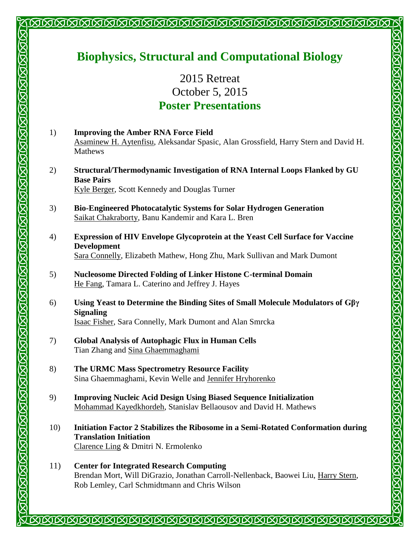## **Biophysics, Structural and Computational Biology**

<u>INNANNNNNNNNNNNNNNNNNNNNNNNNNNN</u>

2015 Retreat October 5, 2015 **Poster Presentations** 

- 1) **Improving the Amber RNA Force Field** Asaminew H. Aytenfisu, Aleksandar Spasic, Alan Grossfield, Harry Stern and David H. Mathews
- 2) **Structural/Thermodynamic Investigation of RNA Internal Loops Flanked by GU Base Pairs** Kyle Berger, Scott Kennedy and Douglas Turner
- 3) **Bio-Engineered Photocatalytic Systems for Solar Hydrogen Generation** Saikat Chakraborty, Banu Kandemir and Kara L. Bren
- 4) **Expression of HIV Envelope Glycoprotein at the Yeast Cell Surface for Vaccine Development** Sara Connelly, Elizabeth Mathew, Hong Zhu, Mark Sullivan and Mark Dumont

**SOSOSOSOSOSOSOSOSO** 

- 5) **Nucleosome Directed Folding of Linker Histone C-terminal Domain** He Fang, Tamara L. Caterino and Jeffrey J. Hayes
- 6) **Using Yeast to Determine the Binding Sites of Small Molecule Modulators of Gβγ Signaling** Isaac Fisher, Sara Connelly, Mark Dumont and Alan Smrcka
- 7) **Global Analysis of Autophagic Flux in Human Cells** Tian Zhang and Sina Ghaemmaghami

<u>MARIANA MARI KI MARIANA MARI KI MARI KI MARI MARI KI MARI KI MARI KI MARI KI </u>

- 8) **The URMC Mass Spectrometry Resource Facility** Sina Ghaemmaghami, Kevin Welle and Jennifer Hryhorenko
- 9) **Improving Nucleic Acid Design Using Biased Sequence Initialization** Mohammad Kayedkhordeh, Stanislav Bellaousov and David H. Mathews
- 10) **Initiation Factor 2 Stabilizes the Ribosome in a Semi-Rotated Conformation during Translation Initiation** Clarence Ling & Dmitri N. Ermolenko
- 11) **Center for Integrated Research Computing** Brendan Mort, Will DiGrazio, Jonathan Carroll-Nellenback, Baowei Liu, Harry Stern, Rob Lemley, Carl Schmidtmann and Chris Wilson